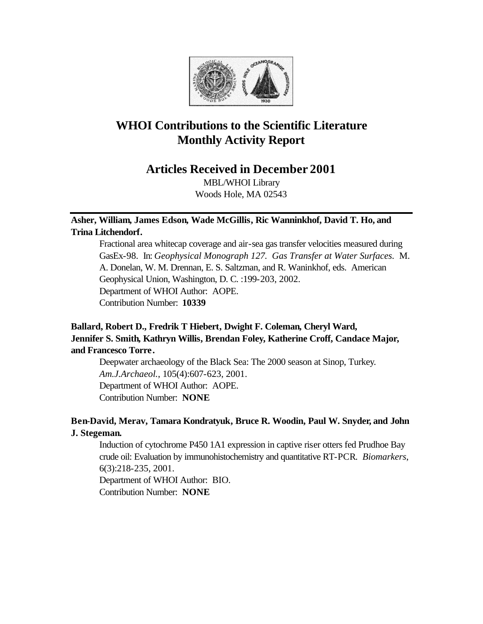

# **WHOI Contributions to the Scientific Literature Monthly Activity Report**

## **Articles Received in December 2001**

MBL/WHOI Library Woods Hole, MA 02543

## **Asher, William, James Edson, Wade McGillis, Ric Wanninkhof, David T. Ho, and Trina Litchendorf.**

Fractional area whitecap coverage and air-sea gas transfer velocities measured during GasEx-98. In: *Geophysical Monograph 127. Gas Transfer at Water Surfaces.* M. A. Donelan, W. M. Drennan, E. S. Saltzman, and R. Waninkhof, eds. American Geophysical Union, Washington, D. C. :199-203, 2002. Department of WHOI Author: AOPE. Contribution Number: **10339**

## **Ballard, Robert D., Fredrik T Hiebert, Dwight F. Coleman, Cheryl Ward, Jennifer S. Smith, Kathryn Willis, Brendan Foley, Katherine Croff, Candace Major, and Francesco Torre.**

Deepwater archaeology of the Black Sea: The 2000 season at Sinop, Turkey. *Am.J.Archaeol.*, 105(4):607-623, 2001. Department of WHOI Author: AOPE. Contribution Number: **NONE**

## **Ben-David, Merav, Tamara Kondratyuk, Bruce R. Woodin, Paul W. Snyder, and John J. Stegeman.**

Induction of cytochrome P450 1A1 expression in captive riser otters fed Prudhoe Bay crude oil: Evaluation by immunohistochemistry and quantitative RT-PCR. *Biomarkers*, 6(3):218-235, 2001.

Department of WHOI Author: BIO. Contribution Number: **NONE**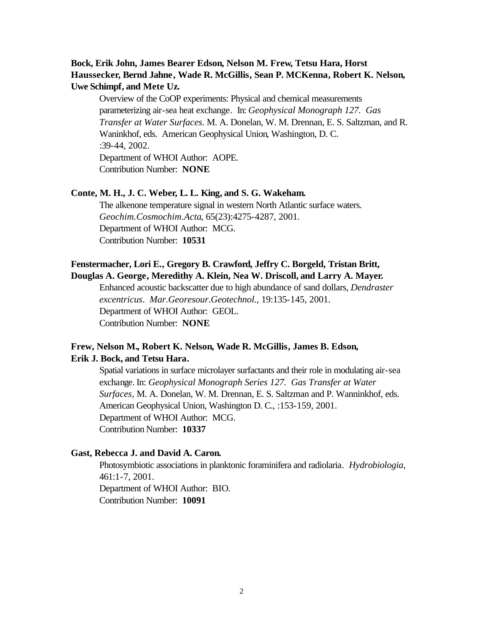## **Bock, Erik John, James Bearer Edson, Nelson M. Frew, Tetsu Hara, Horst Haussecker, Bernd Jahne, Wade R. McGillis, Sean P. MCKenna, Robert K. Nelson, Uwe Schimpf, and Mete Uz.**

Overview of the CoOP experiments: Physical and chemical measurements parameterizing air-sea heat exchange. In: *Geophysical Monograph 127. Gas Transfer at Water Surfaces*. M. A. Donelan, W. M. Drennan, E. S. Saltzman, and R. Waninkhof, eds. American Geophysical Union, Washington, D. C. :39-44, 2002. Department of WHOI Author: AOPE.

Contribution Number: **NONE**

#### **Conte, M. H., J. C. Weber, L. L. King, and S. G. Wakeham.**

The alkenone temperature signal in western North Atlantic surface waters. *Geochim.Cosmochim.Acta*, 65(23):4275-4287, 2001. Department of WHOI Author: MCG. Contribution Number: **10531**

## **Fenstermacher, Lori E., Gregory B. Crawford, Jeffry C. Borgeld, Tristan Britt, Douglas A. George, Meredithy A. Klein, Nea W. Driscoll, and Larry A. Mayer.**

Enhanced acoustic backscatter due to high abundance of sand dollars, *Dendraster excentricus*. *Mar.Georesour.Geotechnol.*, 19:135-145, 2001. Department of WHOI Author: GEOL. Contribution Number: **NONE**

## **Frew, Nelson M., Robert K. Nelson, Wade R. McGillis, James B. Edson, Erik J. Bock, and Tetsu Hara.**

Spatial variations in surface microlayer surfactants and their role in modulating air-sea exchange. In: *Geophysical Monograph Series 127. Gas Transfer at Water Surfaces,* M. A. Donelan, W. M. Drennan, E. S. Saltzman and P. Wanninkhof, eds. American Geophysical Union, Washington D. C., :153-159, 2001. Department of WHOI Author: MCG. Contribution Number: **10337**

#### **Gast, Rebecca J. and David A. Caron.**

Photosymbiotic associations in planktonic foraminifera and radiolaria. *Hydrobiologia*, 461:1-7, 2001. Department of WHOI Author: BIO. Contribution Number: **10091**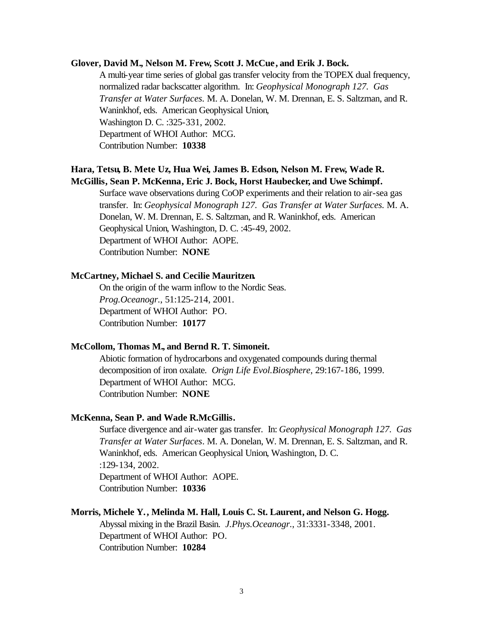#### **Glover, David M., Nelson M. Frew, Scott J. McCue, and Erik J. Bock.**

A multi-year time series of global gas transfer velocity from the TOPEX dual frequency, normalized radar backscatter algorithm. In: *Geophysical Monograph 127. Gas Transfer at Water Surfaces.* M. A. Donelan, W. M. Drennan, E. S. Saltzman, and R. Waninkhof, eds. American Geophysical Union, Washington D. C. :325-331, 2002. Department of WHOI Author: MCG. Contribution Number: **10338**

## **Hara, Tetsu, B. Mete Uz, Hua Wei, James B. Edson, Nelson M. Frew, Wade R. McGillis, Sean P. McKenna, Eric J. Bock, Horst Haubecker, and Uwe Schimpf.**

Surface wave observations during CoOP experiments and their relation to air-sea gas transfer. In: *Geophysical Monograph 127. Gas Transfer at Water Surfaces.* M. A. Donelan, W. M. Drennan, E. S. Saltzman, and R. Waninkhof, eds. American Geophysical Union, Washington, D. C. :45-49, 2002. Department of WHOI Author: AOPE. Contribution Number: **NONE**

#### **McCartney, Michael S. and Cecilie Mauritzen.**

On the origin of the warm inflow to the Nordic Seas. *Prog.Oceanogr.*, 51:125-214, 2001. Department of WHOI Author: PO. Contribution Number: **10177**

#### **McCollom, Thomas M., and Bernd R. T. Simoneit.**

Abiotic formation of hydrocarbons and oxygenated compounds during thermal decomposition of iron oxalate. *Orign Life Evol.Biosphere*, 29:167-186, 1999. Department of WHOI Author: MCG. Contribution Number: **NONE**

#### **McKenna, Sean P. and Wade R.McGillis.**

Surface divergence and air-water gas transfer. In: *Geophysical Monograph 127. Gas Transfer at Water Surfaces*. M. A. Donelan, W. M. Drennan, E. S. Saltzman, and R. Waninkhof, eds. American Geophysical Union, Washington, D. C. :129-134, 2002. Department of WHOI Author: AOPE. Contribution Number: **10336**

#### **Morris, Michele Y., Melinda M. Hall, Louis C. St. Laurent, and Nelson G. Hogg.**

Abyssal mixing in the Brazil Basin. *J.Phys.Oceanogr.*, 31:3331-3348, 2001. Department of WHOI Author: PO. Contribution Number: **10284**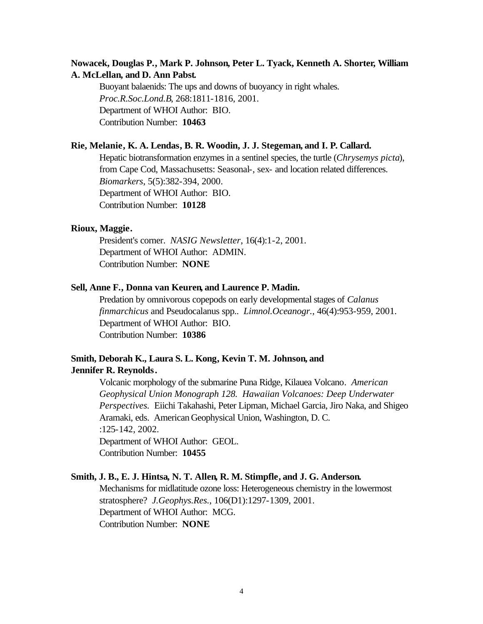## **Nowacek, Douglas P., Mark P. Johnson, Peter L. Tyack, Kenneth A. Shorter, William A. McLellan, and D. Ann Pabst.**

Buoyant balaenids: The ups and downs of buoyancy in right whales. *Proc.R.Soc.Lond.B*, 268:1811-1816, 2001. Department of WHOI Author: BIO. Contribution Number: **10463**

#### **Rie, Melanie, K. A. Lendas, B. R. Woodin, J. J. Stegeman, and I. P. Callard.**

Hepatic biotransformation enzymes in a sentinel species, the turtle (*Chrysemys picta*), from Cape Cod, Massachusetts: Seasonal-, sex- and location related differences. *Biomarkers*, 5(5):382-394, 2000. Department of WHOI Author: BIO. Contribution Number: **10128**

#### **Rioux, Maggie.**

President's corner. *NASIG Newsletter*, 16(4):1-2, 2001. Department of WHOI Author: ADMIN. Contribution Number: **NONE**

#### **Sell, Anne F., Donna van Keuren, and Laurence P. Madin.**

Predation by omnivorous copepods on early developmental stages of *Calanus finmarchicus* and Pseudocalanus spp.. *Limnol.Oceanogr.*, 46(4):953-959, 2001. Department of WHOI Author: BIO. Contribution Number: **10386**

## **Smith, Deborah K., Laura S. L. Kong, Kevin T. M. Johnson, and Jennifer R. Reynolds.**

Volcanic morphology of the submarine Puna Ridge, Kilauea Volcano. *American Geophysical Union Monograph 128. Hawaiian Volcanoes: Deep Underwater Perspectives.* Eiichi Takahashi, Peter Lipman, Michael Garcia, Jiro Naka, and Shigeo Aramaki, eds. American Geophysical Union, Washington, D. C. :125-142, 2002. Department of WHOI Author: GEOL.

Contribution Number: **10455**

#### **Smith, J. B., E. J. Hintsa, N. T. Allen, R. M. Stimpfle, and J. G. Anderson.**

Mechanisms for midlatitude ozone loss: Heterogeneous chemistry in the lowermost stratosphere? *J.Geophys.Res.*, 106(D1):1297-1309, 2001. Department of WHOI Author: MCG. Contribution Number: **NONE**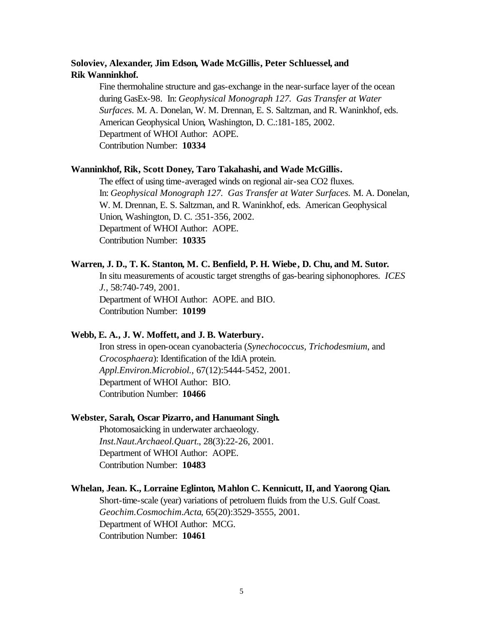## **Soloviev, Alexander, Jim Edson, Wade McGillis, Peter Schluessel, and Rik Wanninkhof.**

Fine thermohaline structure and gas-exchange in the near-surface layer of the ocean during GasEx-98. In: *Geophysical Monograph 127. Gas Transfer at Water Surfaces.* M. A. Donelan, W. M. Drennan, E. S. Saltzman, and R. Waninkhof, eds. American Geophysical Union, Washington, D. C.:181-185, 2002. Department of WHOI Author: AOPE. Contribution Number: **10334**

#### **Wanninkhof, Rik, Scott Doney, Taro Takahashi, and Wade McGillis.**

The effect of using time-averaged winds on regional air-sea CO2 fluxes. In: *Geophysical Monograph 127. Gas Transfer at Water Surfaces.* M. A. Donelan, W. M. Drennan, E. S. Saltzman, and R. Waninkhof, eds. American Geophysical Union, Washington, D. C. :351-356, 2002. Department of WHOI Author: AOPE. Contribution Number: **10335**

#### **Warren, J. D., T. K. Stanton, M. C. Benfield, P. H. Wiebe, D. Chu, and M. Sutor.**

In situ measurements of acoustic target strengths of gas-bearing siphonophores. *ICES J.*, 58:740-749, 2001. Department of WHOI Author: AOPE. and BIO. Contribution Number: **10199**

#### **Webb, E. A., J. W. Moffett, and J. B. Waterbury.**

Iron stress in open-ocean cyanobacteria (*Synechococcus, Trichodesmium*, and *Crocosphaera*): Identification of the IdiA protein. *Appl.Environ.Microbiol.*, 67(12):5444-5452, 2001. Department of WHOI Author: BIO. Contribution Number: **10466**

#### **Webster, Sarah, Oscar Pizarro, and Hanumant Singh.**

Photomosaicking in underwater archaeology. *Inst.Naut.Archaeol.Quart.*, 28(3):22-26, 2001. Department of WHOI Author: AOPE. Contribution Number: **10483**

#### **Whelan, Jean. K., Lorraine Eglinton, Mahlon C. Kennicutt, II, and Yaorong Qian.**

Short-time-scale (year) variations of petroluem fluids from the U.S. Gulf Coast. *Geochim.Cosmochim.Acta*, 65(20):3529-3555, 2001. Department of WHOI Author: MCG. Contribution Number: **10461**